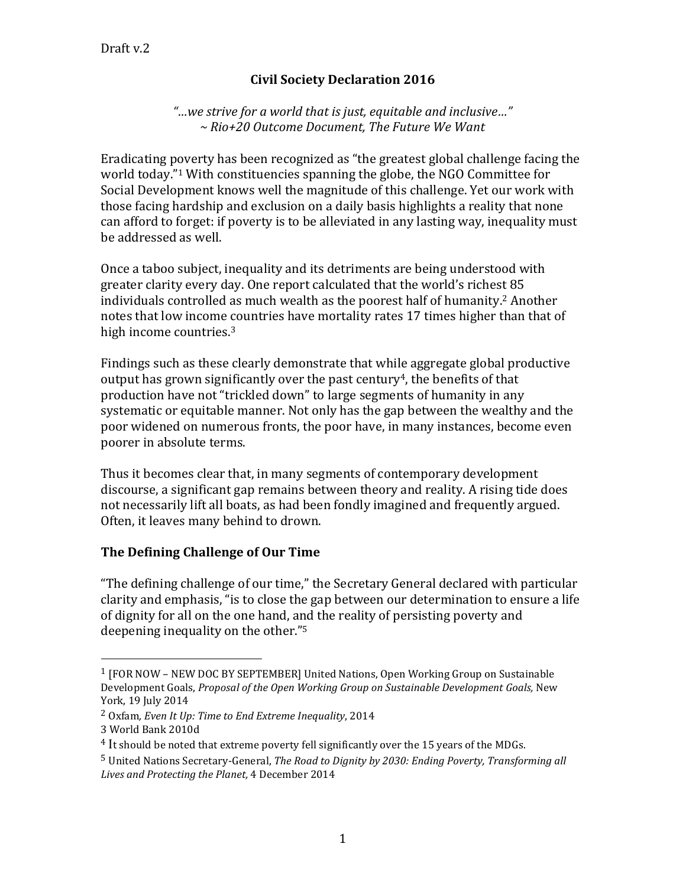## **Civil Society Declaration 2016**

*"…we strive for a world that is just, equitable and inclusive…" ~ Rio+20 Outcome Document, The Future We Want*

Eradicating poverty has been recognized as "the greatest global challenge facing the world today."<sup>1</sup> With constituencies spanning the globe, the NGO Committee for Social Development knows well the magnitude of this challenge. Yet our work with those facing hardship and exclusion on a daily basis highlights a reality that none can afford to forget: if poverty is to be alleviated in any lasting way, inequality must be addressed as well.

Once a taboo subject, inequality and its detriments are being understood with greater clarity every day. One report calculated that the world's richest 85 individuals controlled as much wealth as the poorest half of humanity.<sup>2</sup> Another notes that low income countries have mortality rates 17 times higher than that of high income countries.<sup>3</sup>

Findings such as these clearly demonstrate that while aggregate global productive output has grown significantly over the past century<sup>4</sup>, the benefits of that production have not "trickled down" to large segments of humanity in any systematic or equitable manner. Not only has the gap between the wealthy and the poor widened on numerous fronts, the poor have, in many instances, become even poorer in absolute terms.

Thus it becomes clear that, in many segments of contemporary development discourse, a significant gap remains between theory and reality. A rising tide does not necessarily lift all boats, as had been fondly imagined and frequently argued. Often, it leaves many behind to drown.

### **The Defining Challenge of Our Time**

"The defining challenge of our time," the Secretary General declared with particular clarity and emphasis, "is to close the gap between our determination to ensure a life of dignity for all on the one hand, and the reality of persisting poverty and deepening inequality on the other."<sup>5</sup>

 $\overline{a}$ 

<sup>1</sup> [FOR NOW – NEW DOC BY SEPTEMBER] United Nations, Open Working Group on Sustainable Development Goals, *Proposal of the Open Working Group on Sustainable Development Goals*, New York, 19 July 2014

<sup>2</sup> Oxfam*, Even It Up: Time to End Extreme Inequality*, 2014

<sup>3</sup> World Bank 2010d

<sup>&</sup>lt;sup>4</sup> It should be noted that extreme poverty fell significantly over the 15 years of the MDGs.

<sup>5</sup> United Nations Secretary-General, *The Road to Dignity by 2030: Ending Poverty, Transforming all Lives and Protecting the Planet,* 4 December 2014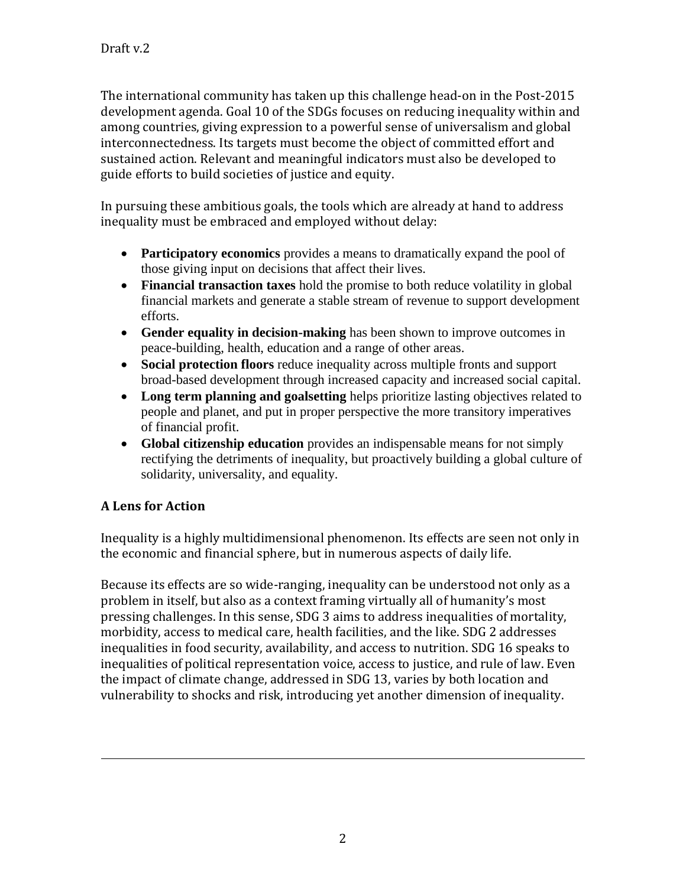The international community has taken up this challenge head-on in the Post-2015 development agenda. Goal 10 of the SDGs focuses on reducing inequality within and among countries, giving expression to a powerful sense of universalism and global interconnectedness. Its targets must become the object of committed effort and sustained action. Relevant and meaningful indicators must also be developed to guide efforts to build societies of justice and equity.

In pursuing these ambitious goals, the tools which are already at hand to address inequality must be embraced and employed without delay:

- **Participatory economics** provides a means to dramatically expand the pool of those giving input on decisions that affect their lives.
- **Financial transaction taxes** hold the promise to both reduce volatility in global financial markets and generate a stable stream of revenue to support development efforts.
- **Gender equality in decision-making** has been shown to improve outcomes in peace-building, health, education and a range of other areas.
- **Social protection floors** reduce inequality across multiple fronts and support broad-based development through increased capacity and increased social capital.
- **Long term planning and goalsetting** helps prioritize lasting objectives related to people and planet, and put in proper perspective the more transitory imperatives of financial profit.
- **Global citizenship education** provides an indispensable means for not simply rectifying the detriments of inequality, but proactively building a global culture of solidarity, universality, and equality.

# **A Lens for Action**

 $\overline{a}$ 

Inequality is a highly multidimensional phenomenon. Its effects are seen not only in the economic and financial sphere, but in numerous aspects of daily life.

Because its effects are so wide-ranging, inequality can be understood not only as a problem in itself, but also as a context framing virtually all of humanity's most pressing challenges. In this sense, SDG 3 aims to address inequalities of mortality, morbidity, access to medical care, health facilities, and the like. SDG 2 addresses inequalities in food security, availability, and access to nutrition. SDG 16 speaks to inequalities of political representation voice, access to justice, and rule of law. Even the impact of climate change, addressed in SDG 13, varies by both location and vulnerability to shocks and risk, introducing yet another dimension of inequality.